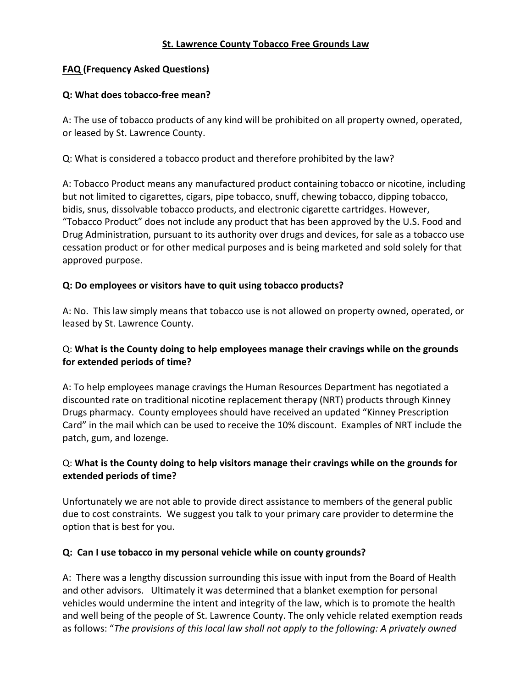#### **St. Lawrence County Tobacco Free Grounds Law**

#### **FAQ (Frequency Asked Questions)**

#### **Q: What does tobacco-free mean?**

A: The use of tobacco products of any kind will be prohibited on all property owned, operated, or leased by St. Lawrence County.

Q: What is considered a tobacco product and therefore prohibited by the law?

A: Tobacco Product means any manufactured product containing tobacco or nicotine, including but not limited to cigarettes, cigars, pipe tobacco, snuff, chewing tobacco, dipping tobacco, bidis, snus, dissolvable tobacco products, and electronic cigarette cartridges. However, "Tobacco Product" does not include any product that has been approved by the U.S. Food and Drug Administration, pursuant to its authority over drugs and devices, for sale as a tobacco use cessation product or for other medical purposes and is being marketed and sold solely for that approved purpose.

#### **Q: Do employees or visitors have to quit using tobacco products?**

A: No. This law simply means that tobacco use is not allowed on property owned, operated, or leased by St. Lawrence County.

### Q: **What is the County doing to help employees manage their cravings while on the grounds for extended periods of time?**

A: To help employees manage cravings the Human Resources Department has negotiated a discounted rate on traditional nicotine replacement therapy (NRT) products through Kinney Drugs pharmacy. County employees should have received an updated "Kinney Prescription Card" in the mail which can be used to receive the 10% discount. Examples of NRT include the patch, gum, and lozenge.

# Q: **What is the County doing to help visitors manage their cravings while on the grounds for extended periods of time?**

Unfortunately we are not able to provide direct assistance to members of the general public due to cost constraints. We suggest you talk to your primary care provider to determine the option that is best for you.

#### **Q: Can I use tobacco in my personal vehicle while on county grounds?**

A: There was a lengthy discussion surrounding this issue with input from the Board of Health and other advisors. Ultimately it was determined that a blanket exemption for personal vehicles would undermine the intent and integrity of the law, which is to promote the health and well being of the people of St. Lawrence County. The only vehicle related exemption reads as follows: "*The provisions of this local law shall not apply to the following: A privately owned*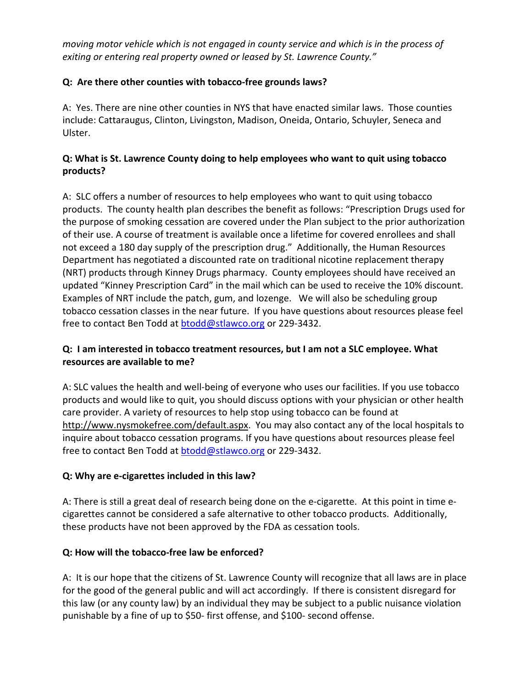*moving motor vehicle which is not engaged in county service and which is in the process of exiting or entering real property owned or leased by St. Lawrence County."*

## **Q: Are there other counties with tobacco-free grounds laws?**

A: Yes. There are nine other counties in NYS that have enacted similar laws. Those counties include: Cattaraugus, Clinton, Livingston, Madison, Oneida, Ontario, Schuyler, Seneca and Ulster.

## **Q: What is St. Lawrence County doing to help employees who want to quit using tobacco products?**

A: SLC offers a number of resources to help employees who want to quit using tobacco products. The county health plan describes the benefit as follows: "Prescription Drugs used for the purpose of smoking cessation are covered under the Plan subject to the prior authorization of their use. A course of treatment is available once a lifetime for covered enrollees and shall not exceed a 180 day supply of the prescription drug." Additionally, the Human Resources Department has negotiated a discounted rate on traditional nicotine replacement therapy (NRT) products through Kinney Drugs pharmacy. County employees should have received an updated "Kinney Prescription Card" in the mail which can be used to receive the 10% discount. Examples of NRT include the patch, gum, and lozenge. We will also be scheduling group tobacco cessation classes in the near future. If you have questions about resources please feel free to contact Ben Todd at [btodd@stlawco.org](mailto:btodd@stlawco.org) or 229-3432.

# **Q: I am interested in tobacco treatment resources, but I am not a SLC employee. What resources are available to me?**

A: SLC values the health and well-being of everyone who uses our facilities. If you use tobacco products and would like to quit, you should discuss options with your physician or other health care provider. A variety of resources to help stop using tobacco can be found at [http://www.nysmokefree.com/default.aspx.](http://www.nysmokefree.com/default.aspx) You may also contact any of the local hospitals to inquire about tobacco cessation programs. If you have questions about resources please feel free to contact Ben Todd at [btodd@stlawco.org](mailto:btodd@stlawco.org) or 229-3432.

### **Q: Why are e-cigarettes included in this law?**

A: There is still a great deal of research being done on the e-cigarette. At this point in time ecigarettes cannot be considered a safe alternative to other tobacco products. Additionally, these products have not been approved by the FDA as cessation tools.

### **Q: How will the tobacco-free law be enforced?**

A: It is our hope that the citizens of St. Lawrence County will recognize that all laws are in place for the good of the general public and will act accordingly. If there is consistent disregard for this law (or any county law) by an individual they may be subject to a public nuisance violation punishable by a fine of up to \$50- first offense, and \$100- second offense.